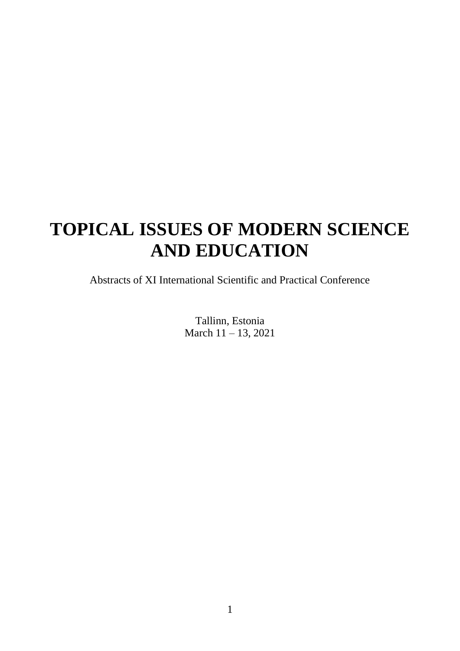# **TOPICAL ISSUES OF MODERN SCIENCE AND EDUCATION**

Abstracts of XI International Scientific and Practical Conference

Tallinn, Estonia March 11 – 13, 2021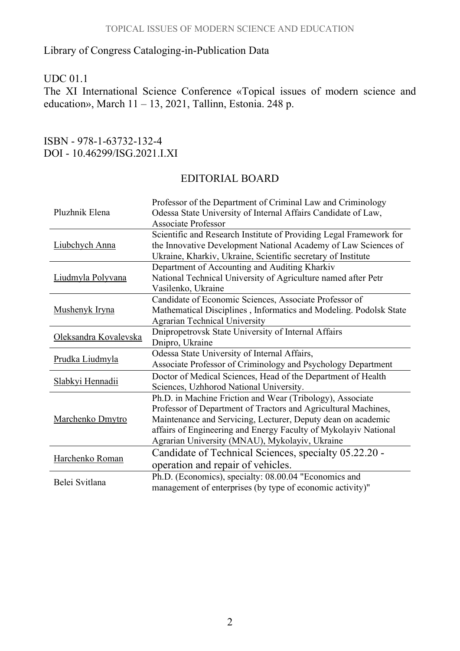### Library of Congress Cataloging-in-Publication Data

#### UDC 01.1

The XI International Science Conference «Topical issues of modern science and education», March  $11 - 13$ , 2021, Tallinn, Estonia. 248 p.

#### ISBN - 978-1-63732-132-4 DOI - 10.46299/ISG.2021.I.XI

#### EDITORIAL BOARD

| Pluzhnik Elena        | Professor of the Department of Criminal Law and Criminology<br>Odessa State University of Internal Affairs Candidate of Law,<br><b>Associate Professor</b>                                                                                                                                                       |
|-----------------------|------------------------------------------------------------------------------------------------------------------------------------------------------------------------------------------------------------------------------------------------------------------------------------------------------------------|
| Liubchych Anna        | Scientific and Research Institute of Providing Legal Framework for<br>the Innovative Development National Academy of Law Sciences of<br>Ukraine, Kharkiv, Ukraine, Scientific secretary of Institute                                                                                                             |
| Liudmyla Polyvana     | Department of Accounting and Auditing Kharkiv<br>National Technical University of Agriculture named after Petr<br>Vasilenko, Ukraine                                                                                                                                                                             |
| Mushenyk Iryna        | Candidate of Economic Sciences, Associate Professor of<br>Mathematical Disciplines, Informatics and Modeling. Podolsk State<br><b>Agrarian Technical University</b>                                                                                                                                              |
| Oleksandra Kovalevska | Dnipropetrovsk State University of Internal Affairs<br>Dnipro, Ukraine                                                                                                                                                                                                                                           |
| Prudka Liudmyla       | Odessa State University of Internal Affairs,<br>Associate Professor of Criminology and Psychology Department                                                                                                                                                                                                     |
| Slabkyi Hennadii      | Doctor of Medical Sciences, Head of the Department of Health<br>Sciences, Uzhhorod National University.                                                                                                                                                                                                          |
| Marchenko Dmytro      | Ph.D. in Machine Friction and Wear (Tribology), Associate<br>Professor of Department of Tractors and Agricultural Machines,<br>Maintenance and Servicing, Lecturer, Deputy dean on academic<br>affairs of Engineering and Energy Faculty of Mykolayiv National<br>Agrarian University (MNAU), Mykolayiv, Ukraine |
| Harchenko Roman       | Candidate of Technical Sciences, specialty 05.22.20 -<br>operation and repair of vehicles.                                                                                                                                                                                                                       |
| Belei Svitlana        | Ph.D. (Economics), specialty: 08.00.04 "Economics and<br>management of enterprises (by type of economic activity)"                                                                                                                                                                                               |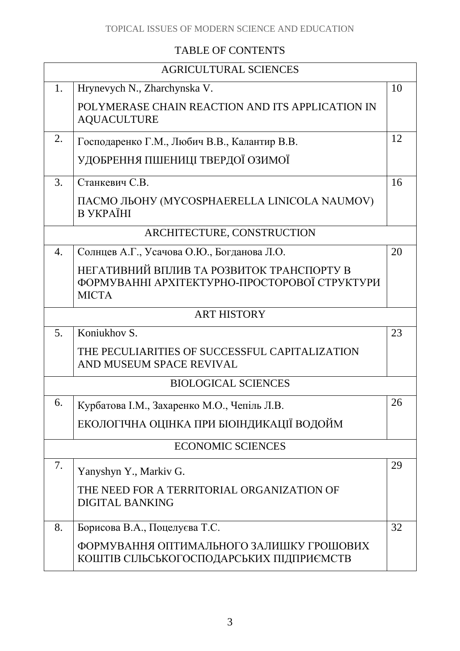# TABLE OF CONTENTS

| <b>AGRICULTURAL SCIENCES</b> |                                                                                                            |    |  |
|------------------------------|------------------------------------------------------------------------------------------------------------|----|--|
| 1.                           | Hrynevych N., Zharchynska V.                                                                               | 10 |  |
|                              | POLYMERASE CHAIN REACTION AND ITS APPLICATION IN<br><b>AQUACULTURE</b>                                     |    |  |
| 2.                           | Господаренко Г.М., Любич В.В., Калантир В.В.                                                               | 12 |  |
|                              | УДОБРЕННЯ ПШЕНИЦІ ТВЕРДОЇ ОЗИМОЇ                                                                           |    |  |
| 3.                           | Станкевич С.В.                                                                                             | 16 |  |
|                              | ПАСМО ЛЬОНУ (MYCOSPHAERELLA LINICOLA NAUMOV)<br><b>B YKPAÏHI</b>                                           |    |  |
|                              | ARCHITECTURE, CONSTRUCTION                                                                                 |    |  |
| 4.                           | Солнцев А.Г., Усачова О.Ю., Богданова Л.О.                                                                 | 20 |  |
|                              | НЕГАТИВНИЙ ВПЛИВ ТА РОЗВИТОК ТРАНСПОРТУ В<br>ФОРМУВАННІ АРХІТЕКТУРНО-ПРОСТОРОВОЇ СТРУКТУРИ<br><b>MICTA</b> |    |  |
|                              | <b>ART HISTORY</b>                                                                                         |    |  |
| 5.                           | Koniukhov S.                                                                                               | 23 |  |
|                              | THE PECULIARITIES OF SUCCESSFUL CAPITALIZATION<br>AND MUSEUM SPACE REVIVAL                                 |    |  |
| <b>BIOLOGICAL SCIENCES</b>   |                                                                                                            |    |  |
| 6.                           | Курбатова І.М., Захаренко М.О., Чепіль Л.В.                                                                | 26 |  |
|                              | ЕКОЛОГІЧНА ОЦІНКА ПРИ БІОІНДИКАЦІЇ ВОДОЙМ                                                                  |    |  |
|                              | <b>ECONOMIC SCIENCES</b>                                                                                   |    |  |
| 7.                           | Yanyshyn Y., Markiv G.                                                                                     | 29 |  |
|                              | THE NEED FOR A TERRITORIAL ORGANIZATION OF<br><b>DIGITAL BANKING</b>                                       |    |  |
| 8.                           | Борисова В.А., Поцелуєва Т.С.                                                                              | 32 |  |
|                              | ФОРМУВАННЯ ОПТИМАЛЬНОГО ЗАЛИШКУ ГРОШОВИХ<br>КОШТІВ СІЛЬСЬКОГОСПОДАРСЬКИХ ПІДПРИЄМСТВ                       |    |  |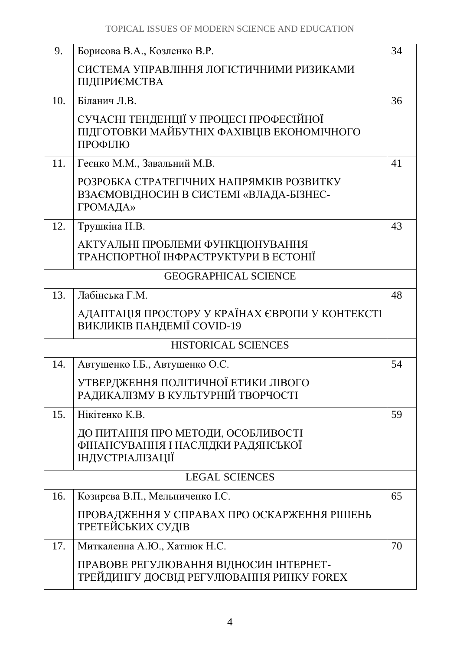| 9.                    | Борисова В.А., Козленко В.Р.                                                                     | 34 |
|-----------------------|--------------------------------------------------------------------------------------------------|----|
|                       | СИСТЕМА УПРАВЛІННЯ ЛОГІСТИЧНИМИ РИЗИКАМИ<br>ПІДПРИЄМСТВА                                         |    |
| 10.                   | Біланич Л.В.                                                                                     | 36 |
|                       | СУЧАСНІ ТЕНДЕНЦІЇ У ПРОЦЕСІ ПРОФЕСІЙНОЇ<br>ПІДГОТОВКИ МАЙБУТНІХ ФАХІВЦІВ ЕКОНОМІЧНОГО<br>ПРОФІЛЮ |    |
| 11.                   | Геєнко М.М., Завальний М.В.                                                                      | 41 |
|                       | РОЗРОБКА СТРАТЕГІЧНИХ НАПРЯМКІВ РОЗВИТКУ<br>ВЗАЄМОВІДНОСИН В СИСТЕМІ «ВЛАДА-БІЗНЕС-<br>ГРОМАДА»  |    |
| 12.                   | Трушкіна Н.В.                                                                                    | 43 |
|                       | АКТУАЛЬНІ ПРОБЛЕМИ ФУНКЦІОНУВАННЯ<br>ТРАНСПОРТНОЇ ІНФРАСТРУКТУРИ В ЕСТОНІЇ                       |    |
|                       | <b>GEOGRAPHICAL SCIENCE</b>                                                                      |    |
| 13.                   | Лабінська Г.М.                                                                                   | 48 |
|                       | АДАПТАЦІЯ ПРОСТОРУ У КРАЇНАХ ЄВРОПИ У КОНТЕКСТІ<br>ВИКЛИКІВ ПАНДЕМІЇ COVID-19                    |    |
|                       | <b>HISTORICAL SCIENCES</b>                                                                       |    |
| 14.                   | Автушенко І.Б., Автушенко О.С.                                                                   | 54 |
|                       | УТВЕРДЖЕННЯ ПОЛІТИЧНОЇ ЕТИКИ ЛІВОГО<br>РАДИКАЛІЗМУ В КУЛЬТУРНІЙ ТВОРЧОСТІ                        |    |
| 15.                   | Нікітенко К.В.                                                                                   | 59 |
|                       | ДО ПИТАННЯ ПРО МЕТОДИ, ОСОБЛИВОСТІ<br>ФІНАНСУВАННЯ І НАСЛІДКИ РАДЯНСЬКОЇ<br>ІНДУСТРІАЛІЗАЦІЇ     |    |
| <b>LEGAL SCIENCES</b> |                                                                                                  |    |
| 16.                   | Козирєва В.П., Мельниченко І.С.                                                                  | 65 |
|                       | ПРОВАДЖЕННЯ У СПРАВАХ ПРО ОСКАРЖЕННЯ РІШЕНЬ<br>ТРЕТЕЙСЬКИХ СУДІВ                                 |    |
| 17.                   | Миткаленна А.Ю., Хатнюк Н.С.                                                                     | 70 |
|                       | ПРАВОВЕ РЕГУЛЮВАННЯ ВІДНОСИН ІНТЕРНЕТ-<br>ТРЕЙДИНГУ ДОСВІД РЕГУЛЮВАННЯ РИНКУ FOREX               |    |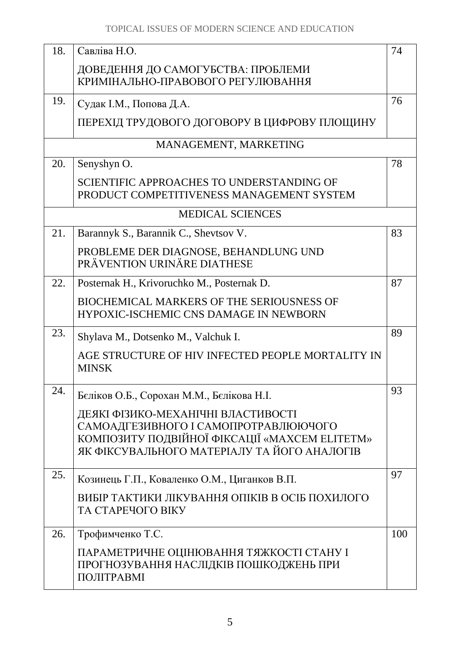| 18. | Савліва Н.О.                                                                                                                                                               | 74  |
|-----|----------------------------------------------------------------------------------------------------------------------------------------------------------------------------|-----|
|     | ДОВЕДЕННЯ ДО САМОГУБСТВА: ПРОБЛЕМИ<br>КРИМІНАЛЬНО-ПРАВОВОГО РЕГУЛЮВАННЯ                                                                                                    |     |
| 19. | Судак І.М., Попова Д.А.                                                                                                                                                    | 76  |
|     | ПЕРЕХІД ТРУДОВОГО ДОГОВОРУ В ЦИФРОВУ ПЛОЩИНУ                                                                                                                               |     |
|     | MANAGEMENT, MARKETING                                                                                                                                                      |     |
| 20. | Senyshyn O.                                                                                                                                                                | 78  |
|     | SCIENTIFIC APPROACHES TO UNDERSTANDING OF<br>PRODUCT COMPETITIVENESS MANAGEMENT SYSTEM                                                                                     |     |
|     | <b>MEDICAL SCIENCES</b>                                                                                                                                                    |     |
| 21. | Barannyk S., Barannik C., Shevtsov V.                                                                                                                                      | 83  |
|     | PROBLEME DER DIAGNOSE, BEHANDLUNG UND<br>PRÄVENTION URINÄRE DIATHESE                                                                                                       |     |
| 22. | Posternak H., Krivoruchko M., Posternak D.                                                                                                                                 | 87  |
|     | <b>BIOCHEMICAL MARKERS OF THE SERIOUSNESS OF</b><br><b>HYPOXIC-ISCHEMIC CNS DAMAGE IN NEWBORN</b>                                                                          |     |
| 23. | Shylava M., Dotsenko M., Valchuk I.                                                                                                                                        | 89  |
|     | AGE STRUCTURE OF HIV INFECTED PEOPLE MORTALITY IN<br><b>MINSK</b>                                                                                                          |     |
| 24. | Беліков О.Б., Сорохан М.М., Белікова Н.І.                                                                                                                                  | 93  |
|     | ДЕЯКІ ФІЗИКО-МЕХАНІЧНІ ВЛАСТИВОСТІ<br>САМОАДГЕЗИВНОГО І САМОПРОТРАВЛЮЮЧОГО<br>КОМПОЗИТУ ПОДВІЙНОЇ ФІКСАЦІЇ «МАХСЕМ ELITETM»<br>ЯК ФІКСУВАЛЬНОГО МАТЕРІАЛУ ТА ЙОГО АНАЛОГІВ |     |
| 25. | Козинець Г.П., Коваленко О.М., Циганков В.П.                                                                                                                               | 97  |
|     | ВИБІР ТАКТИКИ ЛІКУВАННЯ ОПІКІВ В ОСІБ ПОХИЛОГО<br>ТА СТАРЕЧОГО ВІКУ                                                                                                        |     |
| 26. | Трофимченко Т.С.                                                                                                                                                           | 100 |
|     | ПАРАМЕТРИЧНЕ ОЦІНЮВАННЯ ТЯЖКОСТІ СТАНУ І<br>ПРОГНОЗУВАННЯ НАСЛІДКІВ ПОШКОДЖЕНЬ ПРИ<br>ПОЛІТРАВМІ                                                                           |     |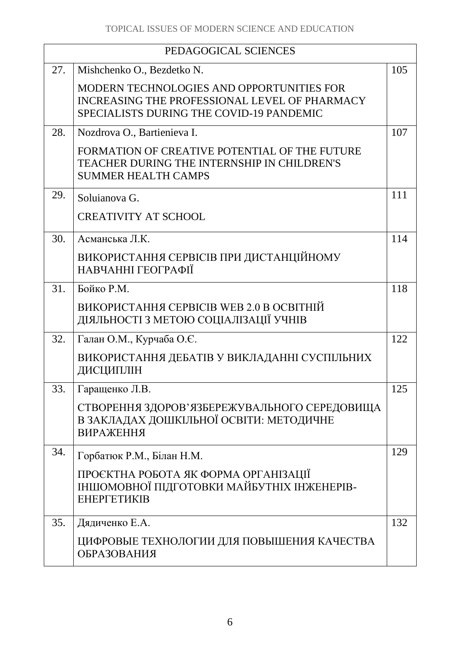| PEDAGOGICAL SCIENCES |                                                                                                                                               |     |
|----------------------|-----------------------------------------------------------------------------------------------------------------------------------------------|-----|
| 27.                  | Mishchenko O., Bezdetko N.                                                                                                                    | 105 |
|                      | MODERN TECHNOLOGIES AND OPPORTUNITIES FOR<br>INCREASING THE PROFESSIONAL LEVEL OF PHARMACY<br><b>SPECIALISTS DURING THE COVID-19 PANDEMIC</b> |     |
| 28.                  | Nozdrova O., Bartienieva I.                                                                                                                   | 107 |
|                      | FORMATION OF CREATIVE POTENTIAL OF THE FUTURE<br><b>TEACHER DURING THE INTERNSHIP IN CHILDREN'S</b><br><b>SUMMER HEALTH CAMPS</b>             |     |
| 29.                  | Soluianova G.                                                                                                                                 | 111 |
|                      | <b>CREATIVITY AT SCHOOL</b>                                                                                                                   |     |
| 30.                  | Асманська Л.К.                                                                                                                                | 114 |
|                      | ВИКОРИСТАННЯ СЕРВІСІВ ПРИ ДИСТАНЦІЙНОМУ<br>НАВЧАННІ ГЕОГРАФІЇ                                                                                 |     |
| 31.                  | Бойко Р.М.                                                                                                                                    | 118 |
|                      | ВИКОРИСТАННЯ СЕРВІСІВ WEB 2.0 В ОСВІТНІЙ<br>ДІЯЛЬНОСТІ З МЕТОЮ СОЦІАЛІЗАЦІЇ УЧНІВ                                                             |     |
| 32.                  | Галан О.М., Курчаба О.Є.                                                                                                                      | 122 |
|                      | ВИКОРИСТАННЯ ДЕБАТІВ У ВИКЛАДАННІ СУСПІЛЬНИХ<br>ДИСЦИПЛІН                                                                                     |     |
| 33.                  | Гаращенко Л.В.                                                                                                                                | 125 |
|                      | СТВОРЕННЯ ЗДОРОВ'ЯЗБЕРЕЖУВАЛЬНОГО СЕРЕДОВИЩА<br>В ЗАКЛАДАХ ДОШКІЛЬНОЇ ОСВІТИ: МЕТОДИЧНЕ<br><b>ВИРАЖЕННЯ</b>                                   |     |
| 34.                  | Горбатюк Р.М., Білан Н.М.                                                                                                                     | 129 |
|                      | ПРОЄКТНА РОБОТА ЯК ФОРМА ОРГАНІЗАЦІЇ<br>ІНШОМОВНОЇ ПІДГОТОВКИ МАЙБУТНІХ ІНЖЕНЕРІВ-<br>ЕНЕРГЕТИКІВ                                             |     |
| 35.                  | Дядиченко Е.А.                                                                                                                                | 132 |
|                      | ЦИФРОВЫЕ ТЕХНОЛОГИИ ДЛЯ ПОВЫШЕНИЯ КАЧЕСТВА<br><b>ОБРАЗОВАНИЯ</b>                                                                              |     |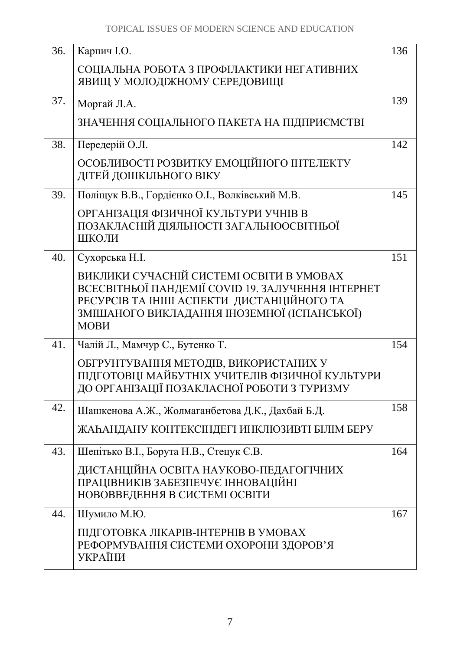| 36. | Карпич I.O.                                                                                                                                                                                       | 136 |
|-----|---------------------------------------------------------------------------------------------------------------------------------------------------------------------------------------------------|-----|
|     | СОЦІАЛЬНА РОБОТА З ПРОФІЛАКТИКИ НЕГАТИВНИХ<br>ЯВИЩ У МОЛОДІЖНОМУ СЕРЕДОВИЩІ                                                                                                                       |     |
| 37. | Моргай Л.А.                                                                                                                                                                                       | 139 |
|     | ЗНАЧЕННЯ СОЦІАЛЬНОГО ПАКЕТА НА ПІДПРИЄМСТВІ                                                                                                                                                       |     |
| 38. | Передерій О.Л.                                                                                                                                                                                    | 142 |
|     | ОСОБЛИВОСТІ РОЗВИТКУ ЕМОЦІЙНОГО ІНТЕЛЕКТУ<br>ДІТЕЙ ДОШКІЛЬНОГО ВІКУ                                                                                                                               |     |
| 39. | Поліщук В.В., Гордієнко О.І., Волківський М.В.                                                                                                                                                    | 145 |
|     | ОРГАНІЗАЦІЯ ФІЗИЧНОЇ КУЛЬТУРИ УЧНІВ В<br>ПОЗАКЛАСНІЙ ДІЯЛЬНОСТІ ЗАГАЛЬНООСВІТНЬОЇ<br>ШКОЛИ                                                                                                        |     |
| 40. | Сухорська Н.І.                                                                                                                                                                                    | 151 |
|     | ВИКЛИКИ СУЧАСНІЙ СИСТЕМІ ОСВІТИ В УМОВАХ<br>ВСЕСВІТНЬОЇ ПАНДЕМІЇ COVID 19. ЗАЛУЧЕННЯ ІНТЕРНЕТ<br>РЕСУРСІВ ТА ІНШІ АСПЕКТИ ДИСТАНЦІЙНОГО ТА<br>ЗМІШАНОГО ВИКЛАДАННЯ ІНОЗЕМНОЇ (ІСПАНСЬКОЇ)<br>МОВИ |     |
| 41. | Чалій Л., Мамчур С., Бутенко Т.                                                                                                                                                                   | 154 |
|     | ОБГРУНТУВАННЯ МЕТОДІВ, ВИКОРИСТАНИХ У<br>ПІДГОТОВЦІ МАЙБУТНІХ УЧИТЕЛІВ ФІЗИЧНОЇ КУЛЬТУРИ<br>ДО ОРГАНІЗАЦІЇ ПОЗАКЛАСНОЇ РОБОТИ З ТУРИЗМУ                                                           |     |
| 42. | Шашкенова А.Ж., Жолмаганбетова Д.К., Дахбай Б.Д.                                                                                                                                                  | 158 |
|     | ЖАҺАНДАНУ КОНТЕКСІНДЕГІ ИНКЛЮЗИВТІ БІЛІМ БЕРУ                                                                                                                                                     |     |
| 43. | Шепітько В.І., Борута Н.В., Стецук Є.В.                                                                                                                                                           | 164 |
|     | ДИСТАНЦІЙНА ОСВІТА НАУКОВО-ПЕДАГОГІЧНИХ<br>ПРАЦІВНИКІВ ЗАБЕЗПЕЧУЄ ІННОВАЦІЙНІ<br>НОВОВВЕДЕННЯ В СИСТЕМІ ОСВІТИ                                                                                    |     |
| 44. | Шумило М.Ю.                                                                                                                                                                                       | 167 |
|     | ПІДГОТОВКА ЛІКАРІВ-ІНТЕРНІВ В УМОВАХ<br>РЕФОРМУВАННЯ СИСТЕМИ ОХОРОНИ ЗДОРОВ'Я<br><b>УКРАЇНИ</b>                                                                                                   |     |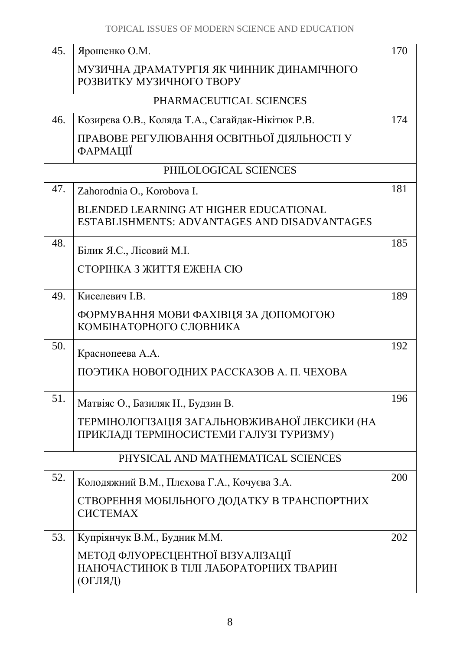| 45. | Ярошенко О.М.                                                                                 | 170 |  |
|-----|-----------------------------------------------------------------------------------------------|-----|--|
|     | МУЗИЧНА ДРАМАТУРГІЯ ЯК ЧИННИК ДИНАМІЧНОГО<br>РОЗВИТКУ МУЗИЧНОГО ТВОРУ                         |     |  |
|     | PHARMACEUTICAL SCIENCES                                                                       |     |  |
| 46. | Козирєва О.В., Коляда Т.А., Сагайдак-Нікітюк Р.В.                                             | 174 |  |
|     | ПРАВОВЕ РЕГУЛЮВАННЯ ОСВІТНЬОЇ ДІЯЛЬНОСТІ У<br><b><i><u>DAPMALII</u></i></b>                   |     |  |
|     | PHILOLOGICAL SCIENCES                                                                         |     |  |
| 47. | Zahorodnia O., Korobova I.                                                                    | 181 |  |
|     | <b>BLENDED LEARNING AT HIGHER EDUCATIONAL</b><br>ESTABLISHMENTS: ADVANTAGES AND DISADVANTAGES |     |  |
| 48. | Білик Я.С., Лісовий М.І.                                                                      | 185 |  |
|     | СТОРІНКА З ЖИТТЯ ЕЖЕНА СЮ                                                                     |     |  |
| 49. | Киселевич І.В.                                                                                | 189 |  |
|     | ФОРМУВАННЯ МОВИ ФАХІВЦЯ ЗА ДОПОМОГОЮ<br>КОМБІНАТОРНОГО СЛОВНИКА                               |     |  |
| 50. | Краснопеева А.А.                                                                              | 192 |  |
|     | ПОЭТИКА НОВОГОДНИХ РАССКАЗОВ А. П. ЧЕХОВА                                                     |     |  |
| 51. | Матвіяс О., Базиляк Н., Будзин В.                                                             | 196 |  |
|     | ТЕРМІНОЛОГІЗАЦІЯ ЗАГАЛЬНОВЖИВАНОЇ ЛЕКСИКИ (НА<br>ПРИКЛАДІ ТЕРМІНОСИСТЕМИ ГАЛУЗІ ТУРИЗМУ)      |     |  |
|     | PHYSICAL AND MATHEMATICAL SCIENCES                                                            |     |  |
| 52. | Колодяжний В.М., Плєхова Г.А., Кочуєва З.А.                                                   | 200 |  |
|     | СТВОРЕННЯ МОБІЛЬНОГО ДОДАТКУ В ТРАНСПОРТНИХ<br><b>CHCTEMAX</b>                                |     |  |
| 53. | Купріянчук В.М., Будник М.М.                                                                  | 202 |  |
|     | МЕТОД ФЛУОРЕСЦЕНТНОЇ ВІЗУАЛІЗАЦІЇ<br>НАНОЧАСТИНОК В ТІЛІ ЛАБОРАТОРНИХ ТВАРИН<br>(ОГЛЯД)       |     |  |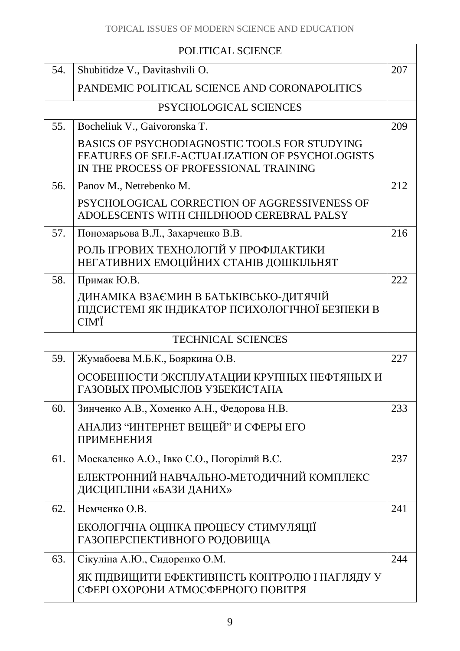| POLITICAL SCIENCE |                                                                                                                                             |     |
|-------------------|---------------------------------------------------------------------------------------------------------------------------------------------|-----|
| 54.               | Shubitidze V., Davitashvili O.                                                                                                              | 207 |
|                   | PANDEMIC POLITICAL SCIENCE AND CORONAPOLITICS                                                                                               |     |
|                   | PSYCHOLOGICAL SCIENCES                                                                                                                      |     |
| 55.               | Bocheliuk V., Gaivoronska T.                                                                                                                | 209 |
|                   | BASICS OF PSYCHODIAGNOSTIC TOOLS FOR STUDYING<br>FEATURES OF SELF-ACTUALIZATION OF PSYCHOLOGISTS<br>IN THE PROCESS OF PROFESSIONAL TRAINING |     |
| 56.               | Panov M., Netrebenko M.                                                                                                                     | 212 |
|                   | PSYCHOLOGICAL CORRECTION OF AGGRESSIVENESS OF<br>ADOLESCENTS WITH CHILDHOOD CEREBRAL PALSY                                                  |     |
| 57.               | Пономарьова В.Л., Захарченко В.В.                                                                                                           | 216 |
|                   | РОЛЬ ІГРОВИХ ТЕХНОЛОГІЙ У ПРОФІЛАКТИКИ<br>НЕГАТИВНИХ ЕМОЦІЙНИХ СТАНІВ ДОШКІЛЬНЯТ                                                            |     |
| 58.               | Примак Ю.В.                                                                                                                                 | 222 |
|                   | ДИНАМІКА ВЗАЄМИН В БАТЬКІВСЬКО-ДИТЯЧІЙ<br>ПІДСИСТЕМІ ЯК ІНДИКАТОР ПСИХОЛОГІЧНОЇ БЕЗПЕКИ В<br>CIM'Ï                                          |     |
|                   | <b>TECHNICAL SCIENCES</b>                                                                                                                   |     |
| 59.               | Жумабоева М.Б.К., Бояркина О.В.                                                                                                             | 227 |
|                   | ОСОБЕННОСТИ ЭКСПЛУАТАЦИИ КРУПНЫХ НЕФТЯНЫХ И<br>ГАЗОВЫХ ПРОМЫСЛОВ УЗБЕКИСТАНА                                                                |     |
| 60.               | Зинченко А.В., Хоменко А.Н., Федорова Н.В.                                                                                                  | 233 |
|                   | АНАЛИЗ "ИНТЕРНЕТ ВЕЩЕЙ" И СФЕРЫ ЕГО<br><b>ПРИМЕНЕНИЯ</b>                                                                                    |     |
| 61.               | Москаленко А.О., Івко С.О., Погорілий В.С.                                                                                                  | 237 |
|                   | ЕЛЕКТРОННИЙ НАВЧАЛЬНО-МЕТОДИЧНИЙ КОМПЛЕКС<br>ДИСЦИПЛІНИ «БАЗИ ДАНИХ»                                                                        |     |
| 62.               | Немченко О.В.                                                                                                                               | 241 |
|                   | ЕКОЛОГІЧНА ОЦІНКА ПРОЦЕСУ СТИМУЛЯЦІЇ<br>ГАЗОПЕРСПЕКТИВНОГО РОДОВИЩА                                                                         |     |
| 63.               | Сікуліна А.Ю., Сидоренко О.М.                                                                                                               | 244 |
|                   | ЯК ПІДВИЩИТИ ЕФЕКТИВНІСТЬ КОНТРОЛЮ І НАГЛЯДУ У<br>СФЕРІ ОХОРОНИ АТМОСФЕРНОГО ПОВІТРЯ                                                        |     |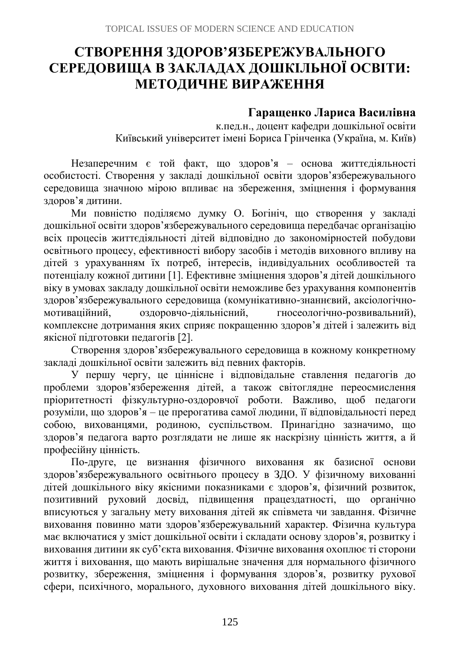# **СТВОРЕННЯ ЗДОРОВ'ЯЗБЕРЕЖУВАЛЬНОГО СЕРЕДОВИЩА В ЗАКЛАДАХ ДОШКІЛЬНОЇ ОСВІТИ: МЕТОДИЧНЕ ВИРАЖЕННЯ**

## **Гаращенко Лариса Василівна**

к.пед.н., доцент кафедри дошкільної освіти Київський університет імені Бориса Грінченка (Україна, м. Київ)

Незаперечним є той факт, що здоров'я – основа життєдіяльності особистості. Створення у закладі дошкільної освіти здоров'язбережувального середовища значною мірою впливає на збереження, зміцнення і формування здоров'я дитини.

Ми повністю поділяємо думку О. Богініч, що створення у закладі дошкільної освіти здоров'язбережувального середовища передбачає організацію всіх процесів життєдіяльності дітей відповідно до закономірностей побудови освітнього процесу, ефективності вибору засобів і методів виховного впливу на дітей з урахуванням їх потреб, інтересів, індивідуальних особливостей та потенціалу кожної дитини [1]. Ефективне зміцнення здоров'я дітей дошкільного віку в умовах закладу дошкільної освіти неможливе без урахування компонентів здоров'язбережувального середовища (комунікативно-знаннєвий, аксіологічномотиваційний, оздоровчо-діяльнісний, гносеологічно-розвивальний), комплексне дотримання яких сприяє покращенню здоров'я дітей і залежить від якісної підготовки педагогів [2].

Створення здоров'язбережувального середовища в кожному конкретному закладі дошкільної освіти залежить від певних факторів.

У першу чергу, це ціннісне і відповідальне ставлення педагогів до проблеми здоров'язбереження дітей, а також світоглядне переосмислення пріоритетності фізкультурно-оздоровчої роботи. Важливо, щоб педагоги розуміли, що здоров'я – це прерогатива самої людини, її відповідальності перед собою, вихованцями, родиною, суспільством. Принагідно зазначимо, що здоров'я педагога варто розглядати не лише як наскрізну цінність життя, а й професійну цінність.

По-друге, це визнання фізичного виховання як базисної основи здоров'язбережувального освітнього процесу в ЗДО. У фізичному вихованні дітей дошкільного віку якісними показниками є здоров'я, фізичний розвиток, позитивний руховий досвід, підвищення працездатності, що органічно вписуються у загальну мету виховання дітей як співмета чи завдання. Фізичне виховання повинно мати здоров'язбережувальний характер. Фізична культура має включатися у зміст дошкільної освіти і складати основу здоров'я, розвитку і виховання дитини як суб'єкта виховання. Фізичне виховання охоплює ті сторони життя і виховання, що мають вирішальне значення для нормального фізичного розвитку, збереження, зміцнення і формування здоров'я, розвитку рухової сфери, психічного, морального, духовного виховання дітей дошкільного віку.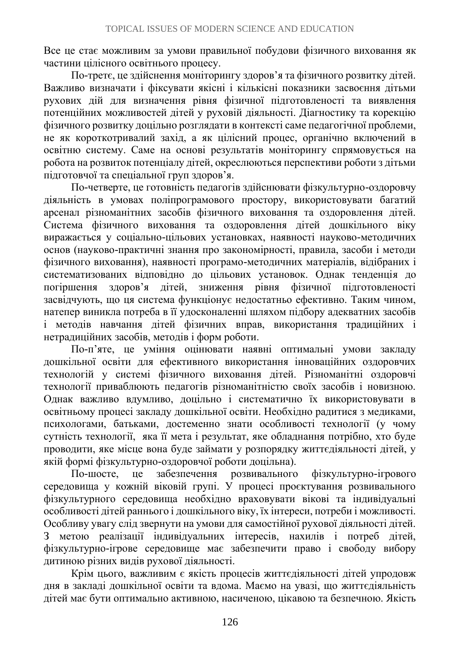Все це стає можливим за умови правильної побудови фізичного виховання як частини цілісного освітнього процесу.

По-третє, це здійснення моніторингу здоров'я та фізичного розвитку дітей. Важливо визначати і фіксувати якісні і кількісні показники засвоєння дітьми рухових дій для визначення рівня фізичної підготовленості та виявлення потенційних можливостей дітей у руховій діяльності. Діагностику та корекцію фізичного розвитку доцільно розглядати в контексті саме педагогічної проблеми, не як короткотривалий захід, а як цілісний процес, органічно включений в освітню систему. Саме на основі результатів моніторингу спрямовується на робота на розвиток потенціалу дітей, окреслюються перспективи роботи з дітьми підготовчої та спеціальної груп здоров'я.

По-четверте, це готовність педагогів здійснювати фізкультурно-оздоровчу діяльність в умовах поліпрограмового простору, використовувати багатий арсенал різноманітних засобів фізичного виховання та оздоровлення дітей. Система фізичного виховання та оздоровлення дітей дошкільного віку виражається у соціально-цільових установках, наявності науково-методичних основ (науково-практичні знання про закономірності, правила, засоби і методи фізичного виховання), наявності програмо-методичних матеріалів, відібраних і систематизованих відповідно до цільових установок. Однак тенденція до погіршення здоров'я дітей, зниження рівня фізичної підготовленості засвідчують, що ця система функціонує недостатньо ефективно. Таким чином, натепер виникла потреба в її удосконаленні шляхом підбору адекватних засобів і методів навчання дітей фізичних вправ, використання традиційних і нетрадиційних засобів, методів і форм роботи.

По-п'яте, це уміння оцінювати наявні оптимальні умови закладу дошкільної освіти для ефективного використання інноваційних оздоровчих технологій у системі фізичного виховання дітей. Різноманітні оздоровчі технології приваблюють педагогів різноманітністю своїх засобів і новизною. Однак важливо вдумливо, доцільно і систематично їх використовувати в освітньому процесі закладу дошкільної освіти. Необхідно радитися з медиками, психологами, батьками, достеменно знати особливості технології (у чому сутність технології, яка її мета і результат, яке обладнання потрібно, хто буде проводити, яке місце вона буде займати у розпорядку життєдіяльності дітей, у якій формі фізкультурно-оздоровчої роботи доцільна).

По-шосте, це забезпечення розвивального фізкультурно-ігрового середовища у кожній віковій групі. У процесі проєктування розвивального фізкультурного середовища необхідно враховувати вікові та індивідуальні особливості дітей раннього і дошкільного віку, їх інтереси, потреби і можливості. Особливу увагу слід звернути на умови для самостійної рухової діяльності дітей. З метою реалізації індивідуальних інтересів, нахилів і потреб дітей, фізкультурно-ігрове середовище має забезпечити право і свободу вибору дитиною різних видів рухової діяльності.

Крім цього, важливим є якість процесів життєдіяльності дітей упродовж дня в закладі дошкільної освіти та вдома. Маємо на увазі, що життєдіяльність дітей має бути оптимально активною, насиченою, цікавою та безпечною. Якість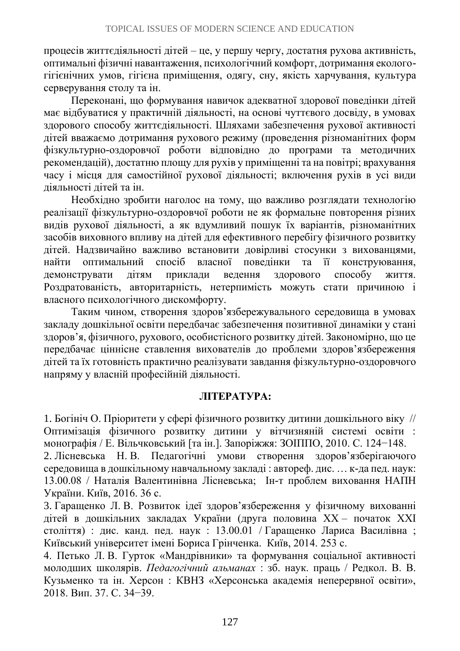процесів життєдіяльності дітей – це, у першу чергу, достатня рухова активність, оптимальні фізичні навантаження, психологічний комфорт, дотримання екологогігієнічних умов, гігієна приміщення, одягу, сну, якість харчування, культура серверування столу та ін.

Переконані, що формування навичок адекватної здорової поведінки дітей має відбуватися у практичній діяльності, на основі чуттєвого досвіду, в умовах здорового способу життєдіяльності. Шляхами забезпечення рухової активності дітей вважаємо дотримання рухового режиму (проведення різноманітних форм фізкультурно-оздоровчої роботи відповідно до програми та методичних рекомендацій), достатню площу для рухів у приміщенні та на повітрі; врахування часу і місця для самостійної рухової діяльності; включення рухів в усі види діяльності дітей та ін.

Необхідно зробити наголос на тому, що важливо розглядати технологію реалізації фізкультурно-оздоровчої роботи не як формальне повторення різних видів рухової діяльності, а як вдумливий пошук їх варіантів, різноманітних засобів виховного впливу на дітей для ефективного перебігу фізичного розвитку дітей. Надзвичайно важливо встановити довірливі стосунки з вихованцями, найти оптимальний спосіб власної поведінки та її конструювання, демонструвати дітям приклади ведення здорового способу життя. Роздратованість, авторитарність, нетерпимість можуть стати причиною і власного психологічного дискомфорту.

Таким чином, створення здоров'язбережувального середовища в умовах закладу дошкільної освіти передбачає забезпечення позитивної динаміки у стані здоров'я, фізичного, рухового, особистісного розвитку дітей. Закономірно, що це передбачає ціннісне ставлення вихователів до проблеми здоров'язбереження дітей та їх готовність практично реалізувати завдання фізкультурно-оздоровчого напряму у власній професійній діяльності.

#### **ЛІТЕРАТУРА:**

1. Богініч О. Пріоритети у сфері фізичного розвитку дитини дошкільного віку // Оптимізація фізичного розвитку дитини у вітчизняній системі освіти : монографія / Е. Вільчковський [та ін.]. Запоріжжя: ЗОІППО, 2010. С. 124−148.

2. Лісневська Н. В. Педагогічні умови створення здоров'язберігаючого середовища в дошкільному навчальному закладі : автореф. дис. … к-да пед. наук: 13.00.08 / Наталія Валентинівна Лісневська; Ін-т проблем виховання НАПН України. Київ, 2016. 36 с.

3. Гаращенко Л. В. Розвиток ідеї здоров'язбереження у фізичному вихованні дітей в дошкільних закладах України (друга половина ХХ – початок ХХІ століття) : дис. канд. пед. наук : 13.00.01 / Гаращенко Лариса Василівна ; Київський університет імені Бориса Грінченка. Київ, 2014. 253 с.

4. Петько Л. В. Гурток «Мандрівники» та формування соціальної активності молодших школярів. *Педагогічний альманах* : зб. наук. праць / Редкол. В. В. Кузьменко та ін. Херсон : КВНЗ «Херсонська академія неперервної освіти», 2018. Вип. 37. С. 34−39.